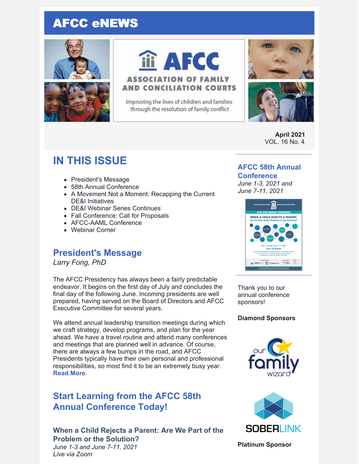# AFCC eNEWS





iii AFCC

### **ASSOCIATION OF FAMILY AND CONCILIATION COURTS**

Improving the lives of children and families through the resolution of family conflict



**April 2021** VOL. 16 No. 4

# **IN THIS ISSUE**

- President's Message
- 58th Annual Conference
- A Movement Not a Moment: Recapping the Current DE&I Initiatives
- DE&I Webinar Series Continues
- Fall Conference: Call for Proposals
- AFCC-AAML Conference
- Webinar Corner

## **President's Message**

*Larry Fong, PhD*

The AFCC Presidency has always been a fairly predictable endeavor. It begins on the first day of July and concludes the final day of the following June. Incoming presidents are well prepared, having served on the Board of Directors and AFCC Executive Committee for several years.

We attend annual leadership transition meetings during which we craft strategy, develop programs, and plan for the year ahead. We have a travel routine and attend many conferences and meetings that are planned well in advance. Of course, there are always a few bumps in the road, and AFCC Presidents typically have their own personal and professional responsibilities, so most find it to be an extremely busy year. **[Read](https://files.constantcontact.com/6beb60a3701/b397f207-20f4-453c-a857-36481ebe409e.pdf) More**.

# **Start Learning from the AFCC 58th Annual Conference Today!**

### **When a Child Rejects a Parent: Are We Part of the Problem or the Solution?**

*June 1-3 and June 7-11, 2021 Live via Zoom*

### **AFCC 58th Annual**

### **Conference**

*June 1-3, 2021 and June 7-11, 2021*



Thank you to our annual conference sponsors!

### **Diamond Sponsors**





**Platinum Sponsor**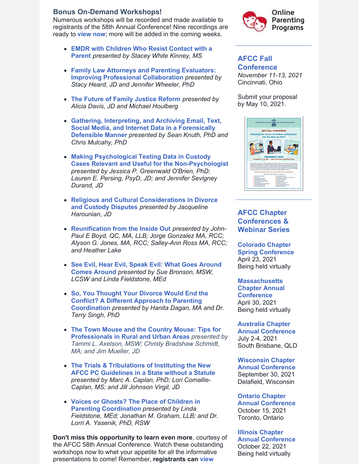#### **Bonus On-Demand Workshops!**

Numerous workshops will be recorded and made available to registrants of the 58th Annual Conference! Nine recordings are ready to **[view](https://www.afccnet.org/58thannualconference/On-Demand-Workshops) now**; more will be added in the coming weeks.

- **EMDR with Children Who Resist Contact with a Parent** *[presented](https://www.afccnet.org/58thannualconference/On-Demand-Workshops/ctl/ViewWebinar/WebinarID/21/mid/1279) by Stacey White Kinney, MS*
- **Family Law Attorneys and Parenting Evaluators: Improving Professional [Collaboration](https://www.afccnet.org/58thannualconference/On-Demand-Workshops/ctl/ViewWebinar/WebinarID/20/mid/1278)** *presented by Stacy Heard, JD and Jennifer Wheeler, PhD*
- **The Future of Family [Justice](https://www.afccnet.org/58thannualconference/On-Demand-Workshops/ctl/ViewWebinar/WebinarID/14/mid/1278) Reform** *presented by Alicia Davis, JD and Michael Houlberg*
- **Gathering, Interpreting, and Archiving Email, Text, Social Media, and Internet Data in a [Forensically](https://www.afccnet.org/58thannualconference/On-Demand-Workshops/ctl/ViewWebinar/WebinarID/23/mid/1279) Defensible Manner** *presented by Sean Knuth, PhD and Chris Mulcahy, PhD*
- **Making Psychological Testing Data in Custody Cases Relevant and Useful for the [Non-Psychologist](https://www.afccnet.org/58thannualconference/On-Demand-Workshops/ctl/ViewWebinar/WebinarID/29/mid/1279)** *presented by Jessica P. Greenwald O'Brien, PhD; Lauren E. Persing, PsyD, JD; and Jennifer Sevigney Durand, JD*
- **Religious and Cultural [Considerations](https://www.afccnet.org/58thannualconference/On-Demand-Workshops/ctl/ViewWebinar/WebinarID/40/mid/1278) in Divorce and Custody Disputes** *presented by Jacqueline Harounian, JD*
- **[Reunification](https://www.afccnet.org/58thannualconference/On-Demand-Workshops/ctl/ViewWebinar/WebinarID/26/mid/1278) from the Inside Out** *presented by John-Paul E Boyd, QC, MA, LLB; Jorge Gonzalez MA, RCC; Alyson G. Jones, MA, RCC; Salley-Ann Ross MA, RCC; and Heather Lake*
- **See Evil, Hear Evil, Speak Evil: What Goes Around Comes Around** *[presented](https://www.afccnet.org/58thannualconference/On-Demand-Workshops/ctl/ViewWebinar/WebinarID/30/mid/1278) by Sue Bronson, MSW, LCSW and Linda Fieldstone, MEd*
- **So, You Thought Your Divorce Would End the Conflict? A Different Approach to Parenting [Coordination](https://www.afccnet.org/58thannualconference/On-Demand-Workshops/ctl/ViewWebinar/WebinarID/31/mid/1279)** *presented by Hanita Dagan, MA and Dr. Terry Singh, PhD*
- **The Town Mouse and the Country Mouse: Tips for [Professionals](https://www.afccnet.org/58thannualconference/On-Demand-Workshops/ctl/ViewWebinar/WebinarID/37/mid/1279) in Rural and Urban Areas** *presented by Tammi L. Axelson, MSW; Christy Bradshaw Schmidt, MA; and Jim Mueller, JD*
- **The Trials & [Tribulations](https://www.afccnet.org/58thannualconference/On-Demand-Workshops/ctl/ViewWebinar/WebinarID/36/mid/1278) of Instituting the New AFCC PC Guidelines in a State without a Statute** *presented by Marc A. Caplan, PhD; Lori Comallie-Caplan, MS; and Jill Johnson Virgil, JD*
- **Voices or Ghosts? The Place of Children in Parenting [Coordination](https://www.afccnet.org/58thannualconference/On-Demand-Workshops/ctl/ViewWebinar/WebinarID/44/mid/1279)** *presented by Linda Fieldstone, MEd; Jonathan M. Graham, LLB; and Dr. Lorri A. Yasenik, PhD, RSW*

**Don't miss this opportunity to learn even more**, courtesy of the AFCC 58th Annual Conference. Watch these outstanding workshops now to whet your appetite for all the informative [presentations](https://www.afccnet.org/58thannualconference/On-Demand-Workshops) to come! Remember, **registrants can view**



### **AFCC Fall [Conference](https://www.afccnet.org/Conferences-Training/AFCC-Conferences/ctl/ViewConference/ConferenceID/362/mid/615)**

*November 11-13, 2021* Cincinnati, Ohio

Submit your proposal by May 10, 2021.



### **AFCC Chapter Conferences & Webinar Series**

**Colorado Chapter Spring [Conference](http://www.coafcc.org/eventsCOAFCC21.php)** April 23, 2021 Being held virtually

### **[Massachusetts](http://www.maafcc.org/events---conferences.html)**

**Chapter Annual Conference** April 30, 2021 Being held virtually

#### **Australia Chapter Annual [Conference](http://afccnet.org.au/conferences/)** July 2-4, 2021 South Brisbane, QLD

**Wisconsin Chapter Annual [Conference](http://www.afccwi.org/Index.html)** September 30, 2021 Delafield, Wisconsin

**Ontario Chapter Annual [Conference](https://afccontario.ca/)** October 15, 2021 Toronto, Ontario

#### **Illinois Chapter Annual [Conference](http://www.afccillinois.org/event-4080853)**

October 22, 2021 Being held virtually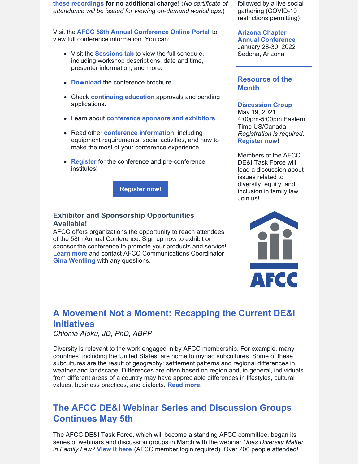**these recordings for no additional charge**! (*No certificate of attendance will be issued for viewing on-demand workshops*.)

Visit the **AFCC 58th Annual [Conference](https://www.afccnet.org/58thannualconference/) Online Portal** to view full conference information. You can:

- Visit the **[Sessions](https://www.afccnet.org/58thannualconference/Sessions) tab** to view the full schedule, including workshop descriptions, date and time, presenter information, and more.
- **[Download](https://www.afccnet.org/Portals/7/AFCC 58th Annual Conference Brochure_1.pdf)** the conference brochure.
- Check **[continuing](https://www.afccnet.org/58thannualconference/Continuing-Ed) education** approvals and pending applications.
- Learn about **[conference](https://www.afccnet.org/58thannualconference/Sponsors) sponsors and exhibitors**.
- Read other **conference [information](https://www.afccnet.org/58thannualconference/More-Info)**, including equipment requirements, social activities, and how to make the most of your conference experience.
- **[Register](https://members.afccnet.org/events/event-registration/?id=c8475628-5321-4332-93c3-20358b9d98fb)** for the conference and pre-conference institutes!

**[Register](https://www.afccnet.org/58thannualconference/) now!**

### **Exhibitor and Sponsorship Opportunities Available!**

AFCC offers organizations the opportunity to reach attendees of the 58th Annual Conference. Sign up now to exhibit or sponsor the conference to promote your products and service! **[Learn](https://files.constantcontact.com/6beb60a3701/76325dbc-c215-4a94-b05c-190218065644.pdf) more** and contact AFCC Communications Coordinator **Gina [Wentling](mailto:gwentling@afccnet.org)** with any questions.

followed by a live social gathering (COVID-19 restrictions permitting)

#### **Arizona Chapter Annual [Conference](https://www.azafcc.org/)**

January 28-30, 2022 Sedona, Arizona

### **Resource of the Month**

#### **Discussion Group**

May 19, 2021 4:00pm-5:00pm Eastern Time US/Canada *Registration is required*. **[Register](https://us02web.zoom.us/meeting/register/tZEkde2sqTsqHNT7XshtEPaCCW81kIxuAtR8) now**!

Members of the AFCC DE&I Task Force will lead a discussion about issues related to diversity, equity, and inclusion in family law. Join us!



# **A Movement Not a Moment: Recapping the Current DE&I Initiatives**

#### *Chioma Ajoku, JD, PhD, ABPP*

Diversity is relevant to the work engaged in by AFCC membership. For example, many countries, including the United States, are home to myriad subcultures. Some of these subcultures are the result of geography: settlement patterns and regional differences in weather and landscape. Differences are often based on region and, in general, individuals from different areas of a country may have appreciable differences in lifestyles, cultural values, business practices, and dialects. **[Read](https://files.constantcontact.com/6beb60a3701/1f42a3c1-15ac-4d23-8d2e-1f5ef92fc05d.pdf) more**.

# **The AFCC DE&I Webinar Series and Discussion Groups Continues May 5th**

The AFCC DE&I Task Force, which will become a standing AFCC committee, began its series of webinars and discussion groups in March with the webinar *Does Diversity Matter in Family Law?* **[View](https://www.afccnet.org/Member-Center/Webinar-Archives/ctl/ViewConference/ConferenceID/418/mid/776) it here** (AFCC member login required). Over 200 people attended!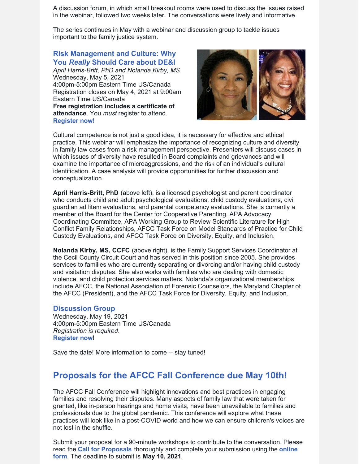A discussion forum, in which small breakout rooms were used to discuss the issues raised in the webinar, followed two weeks later. The conversations were lively and informative.

The series continues in May with a webinar and discussion group to tackle issues important to the family justice system.

### **Risk [Management](https://www.afccnet.org/Conferences-Training/Webinars/ctl/ViewConference/ConferenceID/425/mid/772) and Culture: Why You** *[Really](https://www.afccnet.org/Conferences-Training/Webinars/ctl/ViewConference/ConferenceID/425/mid/772)* **[Should](https://www.afccnet.org/Conferences-Training/Webinars/ctl/ViewConference/ConferenceID/425/mid/772) Care about DE&I**

*April Harris-Britt, PhD and Nolanda Kirby, MS* Wednesday, May 5, 2021 4:00pm-5:00pm Eastern Time US/Canada Registration closes on May 4, 2021 at 9:00am Eastern Time US/Canada **Free registration includes a certificate of attendance**. You *must* register to attend. **[Register](https://www.afccnet.org/Conferences-Training/Webinars/ctl/ViewConference/ConferenceID/425/mid/772) now!**



Cultural competence is not just a good idea, it is necessary for effective and ethical practice. This webinar will emphasize the importance of recognizing culture and diversity in family law cases from a risk management perspective. Presenters will discuss cases in which issues of diversity have resulted in Board complaints and grievances and will examine the importance of microaggressions, and the risk of an individual's cultural identification. A case analysis will provide opportunities for further discussion and conceptualization.

**April Harris-Britt, PhD** (above left), is a licensed psychologist and parent coordinator who conducts child and adult psychological evaluations, child custody evaluations, civil guardian ad litem evaluations, and parental competency evaluations. She is currently a member of the Board for the Center for Cooperative Parenting, APA Advocacy Coordinating Committee, APA Working Group to Review Scientific Literature for High Conflict Family Relationships, AFCC Task Force on Model Standards of Practice for Child Custody Evaluations, and AFCC Task Force on Diversity, Equity, and Inclusion.

**Nolanda Kirby, MS, CCFC** (above right), is the Family Support Services Coordinator at the Cecil County Circuit Court and has served in this position since 2005. She provides services to families who are currently separating or divorcing and/or having child custody and visitation disputes. She also works with families who are dealing with domestic violence, and child protection services matters. Nolanda's organizational memberships include AFCC, the National Association of Forensic Counselors, the Maryland Chapter of the AFCC (President), and the AFCC Task Force for Diversity, Equity, and Inclusion.

#### **Discussion Group**

Wednesday, May 19, 2021 4:00pm-5:00pm Eastern Time US/Canada *Registration is required*. **[Register](https://us02web.zoom.us/meeting/register/tZEkde2sqTsqHNT7XshtEPaCCW81kIxuAtR8) now**!

Save the date! More information to come -- stay tuned!

## **Proposals for the AFCC Fall Conference due May 10th!**

The AFCC Fall Conference will highlight innovations and best practices in engaging families and resolving their disputes. Many aspects of family law that were taken for granted, like in-person hearings and home visits, have been unavailable to families and professionals due to the global pandemic. This conference will explore what these practices will look like in a post-COVID world and how we can ensure children's voices are not lost in the shuffle.

Submit your proposal for a 90-minute workshops to contribute to the conversation. Please read the **Call for [Proposals](https://www.afccnet.org/Portals/0/AFCC Cincinnati 2021 - CFP.pdf)** thoroughly and complete your [submission](https://www.surveymonkey.com/r/AFCC2021FallProposals) using the **online form**. The deadline to submit is **May 10, 2021**.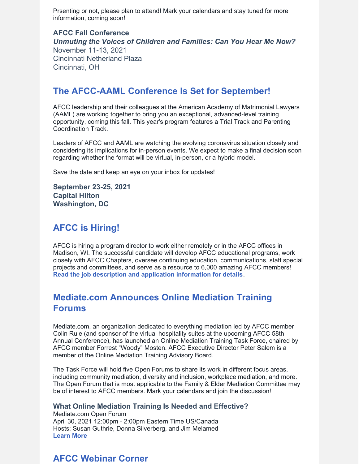Prsenting or not, please plan to attend! Mark your calendars and stay tuned for more information, coming soon!

### **AFCC Fall Conference** *Unmuting the Voices of Children and Families: Can You Hear Me Now?* November 11-13, 2021 Cincinnati Netherland Plaza Cincinnati, OH

### **The AFCC-AAML Conference Is Set for September!**

AFCC leadership and their colleagues at the American Academy of Matrimonial Lawyers (AAML) are working together to bring you an exceptional, advanced-level training opportunity, coming this fall. This year's program features a Trial Track and Parenting Coordination Track.

Leaders of AFCC and AAML are watching the evolving coronavirus situation closely and considering its implications for in-person events. We expect to make a final decision soon regarding whether the format will be virtual, in-person, or a hybrid model.

Save the date and keep an eye on your inbox for updates!

**September 23-25, 2021 Capital Hilton Washington, DC**

# **AFCC is Hiring!**

AFCC is hiring a program director to work either remotely or in the AFCC offices in Madison, WI. The successful candidate will develop AFCC educational programs, work closely with AFCC Chapters, oversee continuing education, communications, staff special projects and committees, and serve as a resource to 6,000 amazing AFCC members! **Read the job description and application [information](https://files.constantcontact.com/6beb60a3701/f59610e7-0740-4455-bf0e-8d93bfed36d9.pdf) for details**.

# **Mediate.com Announces Online Mediation Training Forums**

Mediate.com, an organization dedicated to everything mediation led by AFCC member Colin Rule (and sponsor of the virtual hospitality suites at the upcoming AFCC 58th Annual Conference), has launched an Online Mediation Training Task Force, chaired by AFCC member Forrest "Woody" Mosten. AFCC Executive Director Peter Salem is a member of the Online Mediation Training Advisory Board.

The Task Force will hold five Open Forums to share its work in different focus areas, including community mediation, diversity and inclusion, workplace mediation, and more. The Open Forum that is most applicable to the Family & Elder Mediation Committee may be of interest to AFCC members. Mark your calendars and join the discussion!

### **What Online Mediation Training Is Needed and Effective?**

Mediate.com Open Forum April 30, 2021 12:00pm - 2:00pm Eastern Time US/Canada Hosts: Susan Guthrie, Donna Silverberg, and Jim Melamed **[Learn](https://www.mediate.com/articles/Forums.cfm) More**

# **AFCC Webinar Corner**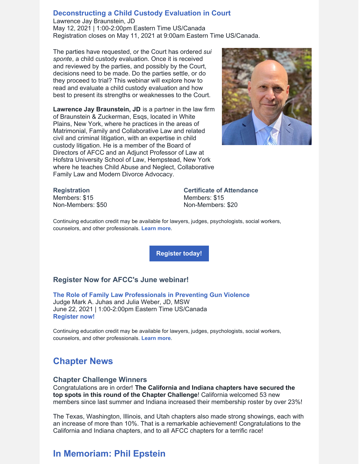#### **[Deconstructing](https://www.afccnet.org/Conferences-Training/Webinars/ctl/ViewConference/ConferenceID/390/mid/772) a Child Custody Evaluation in Court**

Lawrence Jay Braunstein, JD May 12, 2021 | 1:00-2:00pm Eastern Time US/Canada Registration closes on May 11, 2021 at 9:00am Eastern Time US/Canada.

The parties have requested, or the Court has ordered *sui sponte*, a child custody evaluation. Once it is received and reviewed by the parties, and possibly by the Court, decisions need to be made. Do the parties settle, or do they proceed to trial? This webinar will explore how to read and evaluate a child custody evaluation and how best to present its strengths or weaknesses to the Court.

**Lawrence Jay Braunstein, JD** is a partner in the law firm of Braunstein & Zuckerman, Esqs, located in White Plains, New York, where he practices in the areas of Matrimonial, Family and Collaborative Law and related civil and criminal litigation, with an expertise in child custody litigation. He is a member of the Board of Directors of AFCC and an Adjunct Professor of Law at Hofstra University School of Law, Hempstead, New York where he teaches Child Abuse and Neglect, Collaborative Family Law and Modern Divorce Advocacy.



#### **Registration** Members: \$15

Non-Members: \$50

**Certificate of Attendance** Members: \$15 Non-Members: \$20

Continuing education credit may be available for lawyers, judges, psychologists, social workers, counselors, and other professionals. **[Learn](https://www.afccnet.org/Conferences-Training/Webinars/ctl/ViewConference/ConferenceID/390/mid/772) more**.

**[Register](https://www.afccnet.org/Conferences-Training/Webinars/ctl/ViewConference/ConferenceID/390/mid/772) today!**

#### **Register Now for AFCC's June webinar!**

**The Role of Family Law [Professionals](https://www.afccnet.org/Conferences-Training/Webinars/ctl/ViewConference/ConferenceID/389/mid/772) in Preventing Gun Violence** Judge Mark A. Juhas and Julia Weber, JD, MSW June 22, 2021 | 1:00-2:00pm Eastern Time US/Canada **[Register](https://www.afccnet.org/Conferences-Training/Webinars/ctl/ViewConference/ConferenceID/389/mid/772) now!**

Continuing education credit may be available for lawyers, judges, psychologists, social workers, counselors, and other professionals. **[Learn](https://www.afccnet.org/Conferences-Training/Webinars/ctl/ViewConference/ConferenceID/389/mid/772) more**.

### **Chapter News**

#### **Chapter Challenge Winners**

Congratulations are in order! **The California and Indiana chapters have secured the top spots in this round of the Chapter Challenge**! California welcomed 53 new members since last summer and Indiana increased their membership roster by over 23%!

The Texas, Washington, Illinois, and Utah chapters also made strong showings, each with an increase of more than 10%. That is a remarkable achievement! Congratulations to the California and Indiana chapters, and to all AFCC chapters for a terrific race!

## **In Memoriam: Phil Epstein**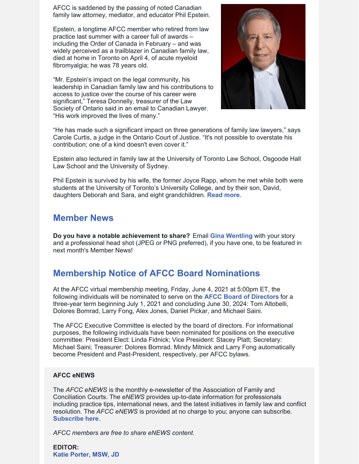AFCC is saddened by the passing of noted Canadian family law attorney, mediator, and educator Phil Epstein.

Epstein, a longtime AFCC member who retired from law practice last summer with a career full of awards – including the Order of Canada in February – and was widely perceived as a trailblazer in Canadian family law, died at home in Toronto on April 4, of acute myeloid fibromyalgia; he was 78 years old.

"Mr. Epstein's impact on the legal community, his leadership in Canadian family law and his contributions to access to justice over the course of his career were significant," Teresa Donnelly, treasurer of the Law Society of Ontario said in an email to Canadian Lawyer. "His work improved the lives of many."



"He has made such a significant impact on three generations of family law lawyers," says Carole Curtis, a judge in the Ontario Court of Justice. "It's not possible to overstate his contribution; one of a kind doesn't even cover it."

Epstein also lectured in family law at the University of Toronto Law School, Osgoode Hall Law School and the University of Sydney.

Phil Epstein is survived by his wife, the former Joyce Rapp, whom he met while both were students at the University of Toronto's University College, and by their son, David, daughters Deborah and Sara, and eight grandchildren. **[Read](https://www.canadianlawyermag.com/practice-areas/family/philip-epstein-remembered-as-family-law-trailblazer-a-real-mensch/354784) more**.

### **Member News**

**Do you have a notable achievement to share?** Email **Gina [Wentling](mailto:gwentling@afccnet.org)** with your story and a professional head shot (JPEG or PNG preferred), if you have one, to be featured in next month's Member News!

# **Membership Notice of AFCC Board Nominations**

At the AFCC virtual membership meeting, Friday, June 4, 2021 at 5:00pm ET, the following individuals will be nominated to serve on the **AFCC Board of [Directors](https://www.afccnet.org/About/Board-of-Directors)** for a three-year term beginning July 1, 2021 and concluding June 30, 2024: Tom Altobelli, Dolores Bomrad, Larry Fong, Alex Jones, Daniel Pickar, and Michael Saini.

The AFCC Executive Committee is elected by the board of directors. For informational purposes, the following individuals have been nominated for positions on the executive committee: President Elect: Linda Fidnick; Vice President: Stacey Platt; Secretary: Michael Saini; Treasurer: Dolores Bomrad. Mindy Mitnick and Larry Fong automatically become President and Past-President, respectively, per AFCC bylaws.

#### **AFCC eNEWS**

The *AFCC eNEWS* is the monthly e-newsletter of the Association of Family and Conciliation Courts. The *eNEWS* provides up-to-date information for professionals including practice tips, international news, and the latest initiatives in family law and conflict resolution. The *AFCC eNEWS* is provided at no charge to you; anyone can subscribe. **[Subscribe](http://www.afccnet.org/Resource-Center/AFCC-eNEWS) here**.

*AFCC members are free to share eNEWS content.*

**EDITOR: Katie [Porter,](mailto:kporter@afccnet.org) MSW, JD**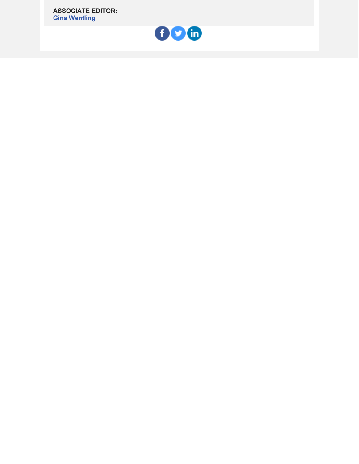**ASSOCIATE EDITOR: Gina [Wentling](mailto:gwentling@afccnet.org)**

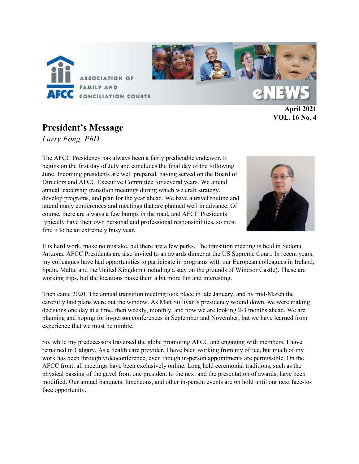

**April 2021 VOL. 16 No. 4**

## **President's Message**

*Larry Fong, PhD*

The AFCC Presidency has always been a fairly predictable endeavor. It begins on the first day of July and concludes the final day of the following June. Incoming presidents are well prepared, having served on the Board of Directors and AFCC Executive Committee for several years. We attend annual leadership transition meetings during which we craft strategy, develop programs, and plan for the year ahead. We have a travel routine and attend many conferences and meetings that are planned well in advance. Of course, there are always a few bumps in the road, and AFCC Presidents typically have their own personal and professional responsibilities, so most find it to be an extremely busy year.



It is hard work, make no mistake, but there are a few perks. The transition meeting is held in Sedona, Arizona. AFCC Presidents are also invited to an awards dinner at the US Supreme Court. In recent years, my colleagues have had opportunities to participate in programs with our European colleagues in Ireland, Spain, Malta, and the United Kingdom (including a stay on the grounds of Windsor Castle). These are working trips, but the locations make them a bit more fun and interesting.

Then came 2020. The annual transition meeting took place in late January, and by mid-March the carefully laid plans were out the window. As Matt Sullivan's presidency wound down, we were making decisions one day at a time, then weekly, monthly, and now we are looking 2-3 months ahead. We are planning and hoping for in-person conferences in September and November, but we have learned from experience that we must be nimble.

So, while my predecessors traversed the globe promoting AFCC and engaging with members, I have remained in Calgary. As a health care provider, I have been working from my office, but much of my work has been through videoconference, even though in-person appointments are permissible. On the AFCC front, all meetings have been exclusively online. Long held ceremonial traditions, such as the physical passing of the gavel from one president to the next and the presentation of awards, have been modified. Our annual banquets, luncheons, and other in-person events are on hold until our next face-toface opportunity.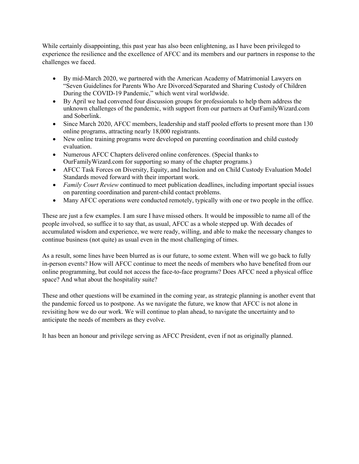While certainly disappointing, this past year has also been enlightening, as I have been privileged to experience the resilience and the excellence of AFCC and its members and our partners in response to the challenges we faced.

- By mid-March 2020, we partnered with the American Academy of Matrimonial Lawyers on "Seven Guidelines for Parents Who Are Divorced/Separated and Sharing Custody of Children During the COVID-19 Pandemic," which went viral worldwide.
- By April we had convened four discussion groups for professionals to help them address the unknown challenges of the pandemic, with support from our partners at OurFamilyWizard.com and Soberlink.
- Since March 2020, AFCC members, leadership and staff pooled efforts to present more than 130 online programs, attracting nearly 18,000 registrants.
- New online training programs were developed on parenting coordination and child custody evaluation.
- Numerous AFCC Chapters delivered online conferences. (Special thanks to OurFamilyWizard.com for supporting so many of the chapter programs.)
- AFCC Task Forces on Diversity, Equity, and Inclusion and on Child Custody Evaluation Model Standards moved forward with their important work.
- *Family Court Review* continued to meet publication deadlines, including important special issues on parenting coordination and parent-child contact problems.
- Many AFCC operations were conducted remotely, typically with one or two people in the office.

These are just a few examples. I am sure I have missed others. It would be impossible to name all of the people involved, so suffice it to say that, as usual, AFCC as a whole stepped up. With decades of accumulated wisdom and experience, we were ready, willing, and able to make the necessary changes to continue business (not quite) as usual even in the most challenging of times.

As a result, some lines have been blurred as is our future, to some extent. When will we go back to fully in-person events? How will AFCC continue to meet the needs of members who have benefited from our online programming, but could not access the face-to-face programs? Does AFCC need a physical office space? And what about the hospitality suite?

These and other questions will be examined in the coming year, as strategic planning is another event that the pandemic forced us to postpone. As we navigate the future, we know that AFCC is not alone in revisiting how we do our work. We will continue to plan ahead, to navigate the uncertainty and to anticipate the needs of members as they evolve.

It has been an honour and privilege serving as AFCC President, even if not as originally planned.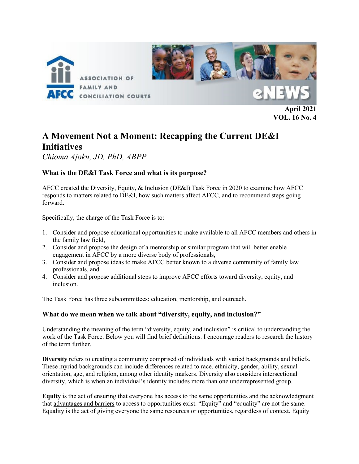

**April 2021 VOL. 16 No. 4**

# **A Movement Not a Moment: Recapping the Current DE&I Initiatives**

*Chioma Ajoku, JD, PhD, ABPP*

### **What is the DE&I Task Force and what is its purpose?**

AFCC created the Diversity, Equity, & Inclusion (DE&I) Task Force in 2020 to examine how AFCC responds to matters related to DE&I, how such matters affect AFCC, and to recommend steps going forward.

Specifically, the charge of the Task Force is to:

- 1. Consider and propose educational opportunities to make available to all AFCC members and others in the family law field,
- 2. Consider and propose the design of a mentorship or similar program that will better enable engagement in AFCC by a more diverse body of professionals,
- 3. Consider and propose ideas to make AFCC better known to a diverse community of family law professionals, and
- 4. Consider and propose additional steps to improve AFCC efforts toward diversity, equity, and inclusion.

The Task Force has three subcommittees: education, mentorship, and outreach.

### **What do we mean when we talk about "diversity, equity, and inclusion?"**

Understanding the meaning of the term "diversity, equity, and inclusion" is critical to understanding the work of the Task Force. Below you will find brief definitions. I encourage readers to research the history of the term further.

**Diversity** refers to creating a community comprised of individuals with varied backgrounds and beliefs. These myriad backgrounds can include differences related to race, ethnicity, gender, ability, sexual orientation, age, and religion, among other identity markers. Diversity also considers intersectional diversity, which is when an individual's identity includes more than one underrepresented group.

**Equity** is the act of ensuring that everyone has access to the same opportunities and the acknowledgment that advantages and barriers to access to opportunities exist. "Equity" and "equality" are not the same. Equality is the act of giving everyone the same resources or opportunities, regardless of context. Equity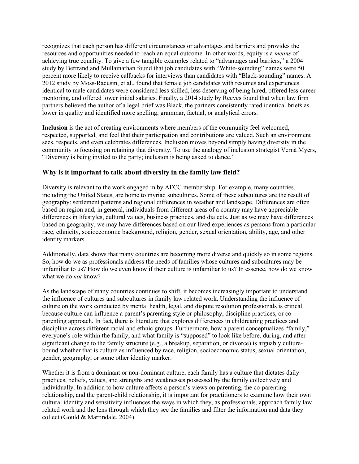recognizes that each person has different circumstances or advantages and barriers and provides the resources and opportunities needed to reach an equal outcome. In other words, equity is a *means* of achieving true equality. To give a few tangible examples related to "advantages and barriers," a 2004 study by Bertrand and Mullainathan found that job candidates with "White-sounding" names were 50 percent more likely to receive callbacks for interviews than candidates with "Black-sounding" names. A 2012 study by Moss-Racusin, et al., found that female job candidates with resumes and experiences identical to male candidates were considered less skilled, less deserving of being hired, offered less career mentoring, and offered lower initial salaries. Finally, a 2014 study by Reeves found that when law firm partners believed the author of a legal brief was Black, the partners consistently rated identical briefs as lower in quality and identified more spelling, grammar, factual, or analytical errors.

**Inclusion** is the act of creating environments where members of the community feel welcomed, respected, supported, and feel that their participation and contributions are valued. Such an environment sees, respects, and even celebrates differences. Inclusion moves beyond simply having diversity in the community to focusing on retaining that diversity. To use the analogy of inclusion strategist Vernã Myers, "Diversity is being invited to the party; inclusion is being asked to dance."

#### **Why is it important to talk about diversity in the family law field?**

Diversity is relevant to the work engaged in by AFCC membership. For example, many countries, including the United States, are home to myriad subcultures. Some of these subcultures are the result of geography: settlement patterns and regional differences in weather and landscape. Differences are often based on region and, in general, individuals from different areas of a country may have appreciable differences in lifestyles, cultural values, business practices, and dialects. Just as we may have differences based on geography, we may have differences based on our lived experiences as persons from a particular race, ethnicity, socioeconomic background, religion, gender, sexual orientation, ability, age, and other identity markers.

Additionally, data shows that many countries are becoming more diverse and quickly so in some regions. So, how do we as professionals address the needs of families whose cultures and subcultures may be unfamiliar to us? How do we even know if their culture is unfamiliar to us? In essence, how do we know what we do *not* know?

As the landscape of many countries continues to shift, it becomes increasingly important to understand the influence of cultures and subcultures in family law related work. Understanding the influence of culture on the work conducted by mental health, legal, and dispute resolution professionals is critical because culture can influence a parent's parenting style or philosophy, discipline practices, or coparenting approach. In fact, there is literature that explores differences in childrearing practices and discipline across different racial and ethnic groups. Furthermore, how a parent conceptualizes "family," everyone's role within the family, and what family is "supposed" to look like before, during, and after significant change to the family structure (e.g., a breakup, separation, or divorce) is arguably culturebound whether that is culture as influenced by race, religion, socioeconomic status, sexual orientation, gender, geography, or some other identity marker.

Whether it is from a dominant or non-dominant culture, each family has a culture that dictates daily practices, beliefs, values, and strengths and weaknesses possessed by the family collectively and individually. In addition to how culture affects a person's views on parenting, the co-parenting relationship, and the parent-child relationship, it is important for practitioners to examine how their own cultural identity and sensitivity influences the ways in which they, as professionals, approach family law related work and the lens through which they see the families and filter the information and data they collect (Gould & Martindale, 2004).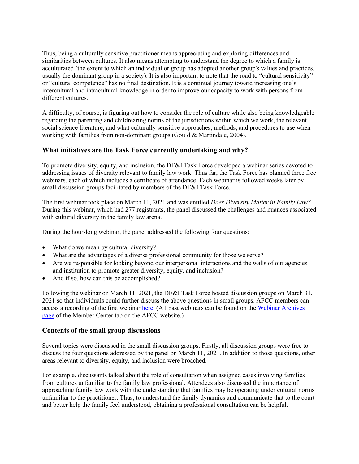Thus, being a culturally sensitive practitioner means appreciating and exploring differences and similarities between cultures. It also means attempting to understand the degree to which a family is acculturated (the extent to which an individual or group has adopted another group's values and practices, usually the dominant group in a society). It is also important to note that the road to "cultural sensitivity" or "cultural competence" has no final destination. It is a continual journey toward increasing one's intercultural and intracultural knowledge in order to improve our capacity to work with persons from different cultures.

A difficulty, of course, is figuring out how to consider the role of culture while also being knowledgeable regarding the parenting and childrearing norms of the jurisdictions within which we work, the relevant social science literature, and what culturally sensitive approaches, methods, and procedures to use when working with families from non-dominant groups (Gould & Martindale, 2004).

#### **What initiatives are the Task Force currently undertaking and why?**

To promote diversity, equity, and inclusion, the DE&I Task Force developed a webinar series devoted to addressing issues of diversity relevant to family law work. Thus far, the Task Force has planned three free webinars, each of which includes a certificate of attendance. Each webinar is followed weeks later by small discussion groups facilitated by members of the DE&I Task Force.

The first webinar took place on March 11, 2021 and was entitled *Does Diversity Matter in Family Law?* During this webinar, which had 277 registrants, the panel discussed the challenges and nuances associated with cultural diversity in the family law arena.

During the hour-long webinar, the panel addressed the following four questions:

- What do we mean by cultural diversity?
- What are the advantages of a diverse professional community for those we serve?
- Are we responsible for looking beyond our interpersonal interactions and the walls of our agencies and institution to promote greater diversity, equity, and inclusion?
- And if so, how can this be accomplished?

Following the webinar on March 11, 2021, the DE&I Task Force hosted discussion groups on March 31, 2021 so that individuals could further discuss the above questions in small groups. AFCC members can access a recording of the first webinar [here.](https://www.afccnet.org/Member-Center/Webinar-Archives/ctl/ViewConference/ConferenceID/418/mid/776) (All past webinars can be found on the [Webinar Archives](https://www.afccnet.org/Member-Center/Webinar-Archives)  [page](https://www.afccnet.org/Member-Center/Webinar-Archives) of the Member Center tab on the AFCC website.)

#### **Contents of the small group discussions**

Several topics were discussed in the small discussion groups. Firstly, all discussion groups were free to discuss the four questions addressed by the panel on March 11, 2021. In addition to those questions, other areas relevant to diversity, equity, and inclusion were broached.

For example, discussants talked about the role of consultation when assigned cases involving families from cultures unfamiliar to the family law professional. Attendees also discussed the importance of approaching family law work with the understanding that families may be operating under cultural norms unfamiliar to the practitioner. Thus, to understand the family dynamics and communicate that to the court and better help the family feel understood, obtaining a professional consultation can be helpful.